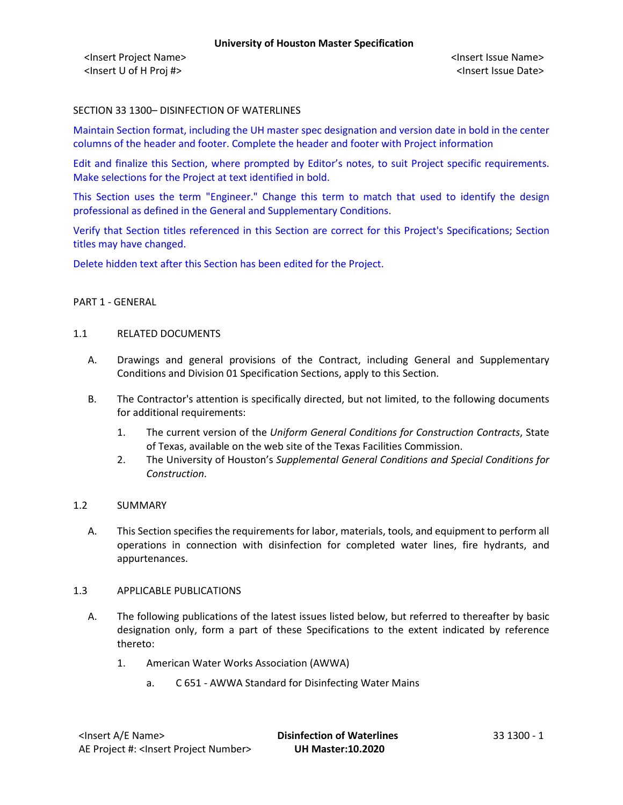## SECTION 33 1300– DISINFECTION OF WATERLINES

Maintain Section format, including the UH master spec designation and version date in bold in the center columns of the header and footer. Complete the header and footer with Project information

Edit and finalize this Section, where prompted by Editor's notes, to suit Project specific requirements. Make selections for the Project at text identified in bold.

This Section uses the term "Engineer." Change this term to match that used to identify the design professional as defined in the General and Supplementary Conditions.

Verify that Section titles referenced in this Section are correct for this Project's Specifications; Section titles may have changed.

Delete hidden text after this Section has been edited for the Project.

#### PART 1 - GENERAL

#### 1.1 RELATED DOCUMENTS

- A. Drawings and general provisions of the Contract, including General and Supplementary Conditions and Division 01 Specification Sections, apply to this Section.
- B. The Contractor's attention is specifically directed, but not limited, to the following documents for additional requirements:
	- 1. The current version of the *Uniform General Conditions for Construction Contracts*, State of Texas, available on the web site of the Texas Facilities Commission.
	- 2. The University of Houston's *Supplemental General Conditions and Special Conditions for Construction*.

### 1.2 SUMMARY

A. This Section specifies the requirements for labor, materials, tools, and equipment to perform all operations in connection with disinfection for completed water lines, fire hydrants, and appurtenances.

#### 1.3 APPLICABLE PUBLICATIONS

- A. The following publications of the latest issues listed below, but referred to thereafter by basic designation only, form a part of these Specifications to the extent indicated by reference thereto:
	- 1. American Water Works Association (AWWA)
		- a. C 651 AWWA Standard for Disinfecting Water Mains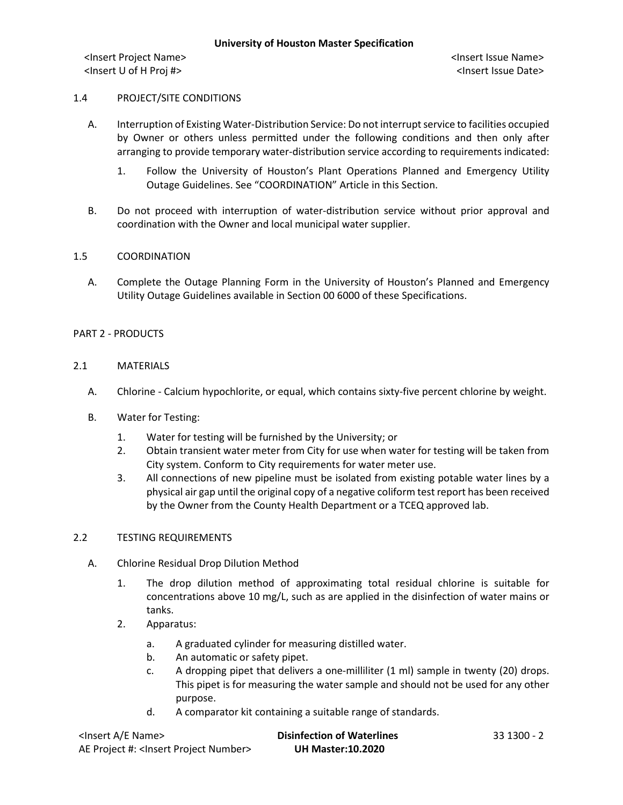<Insert Project Name> <Insert Issue Name> <Insert U of H Proj #> <Insert Issue Date>

### 1.4 PROJECT/SITE CONDITIONS

- A. Interruption of Existing Water-Distribution Service: Do not interrupt service to facilities occupied by Owner or others unless permitted under the following conditions and then only after arranging to provide temporary water-distribution service according to requirements indicated:
	- 1. Follow the University of Houston's Plant Operations Planned and Emergency Utility Outage Guidelines. See "COORDINATION" Article in this Section.
- B. Do not proceed with interruption of water-distribution service without prior approval and coordination with the Owner and local municipal water supplier.

### 1.5 COORDINATION

A. Complete the Outage Planning Form in the University of Houston's Planned and Emergency Utility Outage Guidelines available in Section 00 6000 of these Specifications.

### PART 2 - PRODUCTS

### 2.1 MATERIALS

- A. Chlorine Calcium hypochlorite, or equal, which contains sixty-five percent chlorine by weight.
- B. Water for Testing:
	- 1. Water for testing will be furnished by the University; or
	- 2. Obtain transient water meter from City for use when water for testing will be taken from City system. Conform to City requirements for water meter use.
	- 3. All connections of new pipeline must be isolated from existing potable water lines by a physical air gap until the original copy of a negative coliform test report has been received by the Owner from the County Health Department or a TCEQ approved lab.

### 2.2 TESTING REQUIREMENTS

- A. Chlorine Residual Drop Dilution Method
	- 1. The drop dilution method of approximating total residual chlorine is suitable for concentrations above 10 mg/L, such as are applied in the disinfection of water mains or tanks.
	- 2. Apparatus:
		- a. A graduated cylinder for measuring distilled water.
		- b. An automatic or safety pipet.
		- c. A dropping pipet that delivers a one-milliliter (1 ml) sample in twenty (20) drops. This pipet is for measuring the water sample and should not be used for any other purpose.
		- d. A comparator kit containing a suitable range of standards.

| <lnsert a="" e="" name=""></lnsert>                  | <b>Disinfection of Waterlines</b> | 33 1300 - 2 |
|------------------------------------------------------|-----------------------------------|-------------|
| AE Project #: <lnsert number="" project=""></lnsert> | <b>UH Master:10.2020</b>          |             |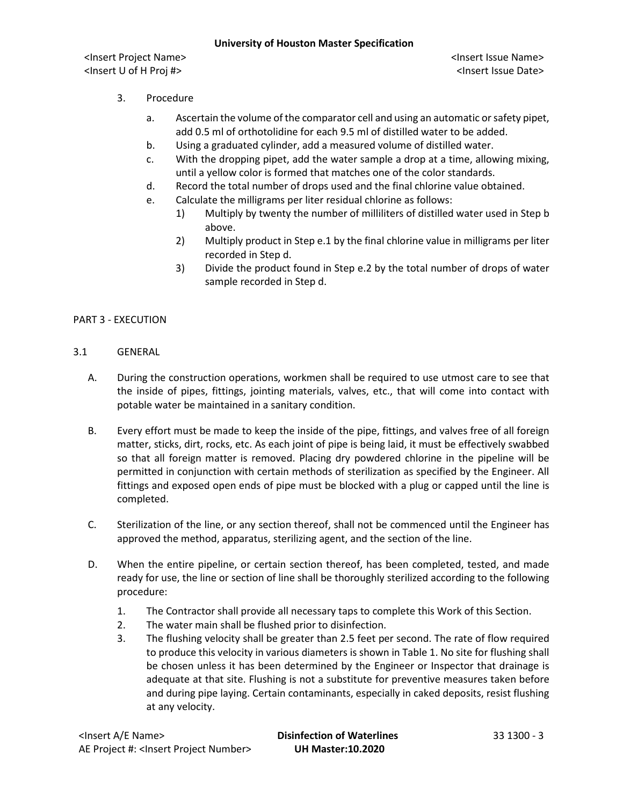## **University of Houston Master Specification**

<Insert Project Name> <Insert Issue Name> <Insert U of H Proj #> <Insert Issue Date>

- 3. Procedure
	- a. Ascertain the volume of the comparator cell and using an automatic or safety pipet, add 0.5 ml of orthotolidine for each 9.5 ml of distilled water to be added.
	- b. Using a graduated cylinder, add a measured volume of distilled water.
	- c. With the dropping pipet, add the water sample a drop at a time, allowing mixing, until a yellow color is formed that matches one of the color standards.
	- d. Record the total number of drops used and the final chlorine value obtained.
	- e. Calculate the milligrams per liter residual chlorine as follows:
		- 1) Multiply by twenty the number of milliliters of distilled water used in Step b above.
		- 2) Multiply product in Step e.1 by the final chlorine value in milligrams per liter recorded in Step d.
		- 3) Divide the product found in Step e.2 by the total number of drops of water sample recorded in Step d.

# PART 3 - EXECUTION

# 3.1 GENERAL

- A. During the construction operations, workmen shall be required to use utmost care to see that the inside of pipes, fittings, jointing materials, valves, etc., that will come into contact with potable water be maintained in a sanitary condition.
- B. Every effort must be made to keep the inside of the pipe, fittings, and valves free of all foreign matter, sticks, dirt, rocks, etc. As each joint of pipe is being laid, it must be effectively swabbed so that all foreign matter is removed. Placing dry powdered chlorine in the pipeline will be permitted in conjunction with certain methods of sterilization as specified by the Engineer. All fittings and exposed open ends of pipe must be blocked with a plug or capped until the line is completed.
- C. Sterilization of the line, or any section thereof, shall not be commenced until the Engineer has approved the method, apparatus, sterilizing agent, and the section of the line.
- D. When the entire pipeline, or certain section thereof, has been completed, tested, and made ready for use, the line or section of line shall be thoroughly sterilized according to the following procedure:
	- 1. The Contractor shall provide all necessary taps to complete this Work of this Section.
	- 2. The water main shall be flushed prior to disinfection.
	- 3. The flushing velocity shall be greater than 2.5 feet per second. The rate of flow required to produce this velocity in various diameters is shown in Table 1. No site for flushing shall be chosen unless it has been determined by the Engineer or Inspector that drainage is adequate at that site. Flushing is not a substitute for preventive measures taken before and during pipe laying. Certain contaminants, especially in caked deposits, resist flushing at any velocity.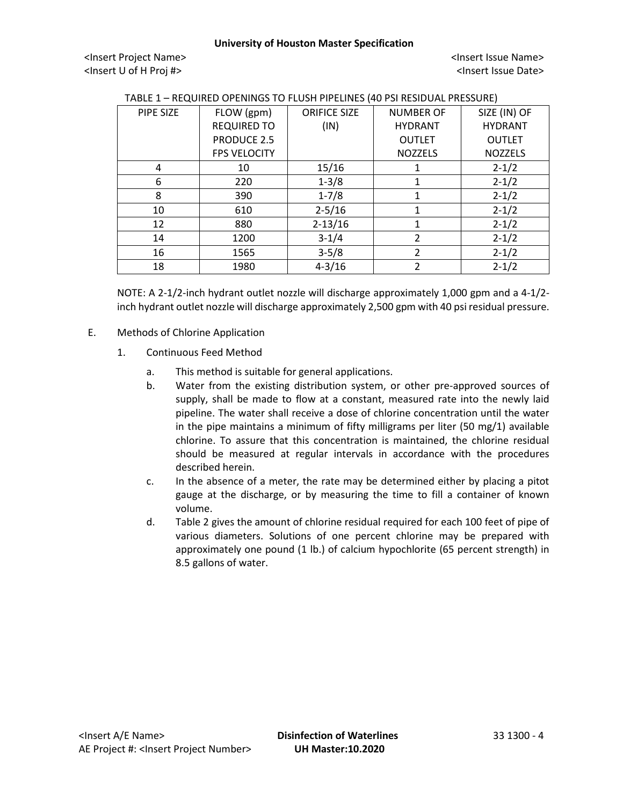### **University of Houston Master Specification**

<Insert Project Name> <Insert Issue Name> <Insert U of H Proj #> <Insert Issue Date>

| PIPE SIZE | FLOW (gpm)          | <b>ORIFICE SIZE</b> | <b>NUMBER OF</b> | SIZE (IN) OF   |
|-----------|---------------------|---------------------|------------------|----------------|
|           | <b>REQUIRED TO</b>  | (IN)                | <b>HYDRANT</b>   | <b>HYDRANT</b> |
|           | <b>PRODUCE 2.5</b>  |                     | <b>OUTLET</b>    | <b>OUTLET</b>  |
|           | <b>FPS VELOCITY</b> |                     | <b>NOZZELS</b>   | <b>NOZZELS</b> |
| 4         | 10                  | 15/16               |                  | $2 - 1/2$      |
| 6         | 220                 | $1 - 3/8$           | 1                | $2 - 1/2$      |
| 8         | 390                 | $1 - 7/8$           | 1                | $2 - 1/2$      |
| 10        | 610                 | $2 - 5/16$          | 1                | $2 - 1/2$      |
| 12        | 880                 | $2 - 13/16$         | 1                | $2 - 1/2$      |
| 14        | 1200                | $3 - 1/4$           | $\mathcal{P}$    | $2 - 1/2$      |
| 16        | 1565                | $3-5/8$             | $\mathcal{P}$    | $2 - 1/2$      |
| 18        | 1980                | $4 - 3/16$          | $\mathcal{P}$    | $2 - 1/2$      |

NOTE: A 2-1/2-inch hydrant outlet nozzle will discharge approximately 1,000 gpm and a 4-1/2 inch hydrant outlet nozzle will discharge approximately 2,500 gpm with 40 psi residual pressure.

- E. Methods of Chlorine Application
	- 1. Continuous Feed Method
		- a. This method is suitable for general applications.
		- b. Water from the existing distribution system, or other pre-approved sources of supply, shall be made to flow at a constant, measured rate into the newly laid pipeline. The water shall receive a dose of chlorine concentration until the water in the pipe maintains a minimum of fifty milligrams per liter (50 mg/1) available chlorine. To assure that this concentration is maintained, the chlorine residual should be measured at regular intervals in accordance with the procedures described herein.
		- c. In the absence of a meter, the rate may be determined either by placing a pitot gauge at the discharge, or by measuring the time to fill a container of known volume.
		- d. Table 2 gives the amount of chlorine residual required for each 100 feet of pipe of various diameters. Solutions of one percent chlorine may be prepared with approximately one pound (1 lb.) of calcium hypochlorite (65 percent strength) in 8.5 gallons of water.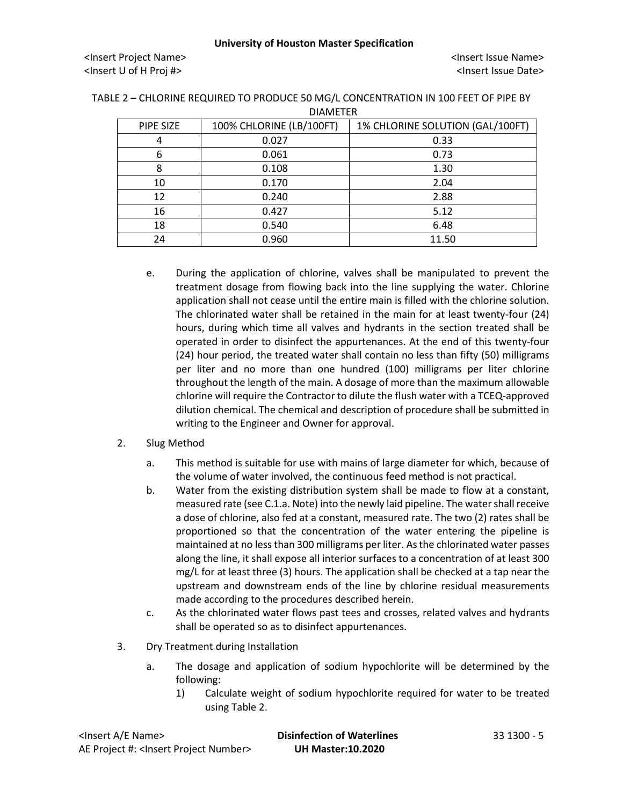| PIPE SIZE | 100% CHLORINE (LB/100FT) | 1% CHLORINE SOLUTION (GAL/100FT) |
|-----------|--------------------------|----------------------------------|
| 4         | 0.027                    | 0.33                             |
| 6         | 0.061                    | 0.73                             |
| 8         | 0.108                    | 1.30                             |
| 10        | 0.170                    | 2.04                             |
| 12        | 0.240                    | 2.88                             |
| 16        | 0.427                    | 5.12                             |
| 18        | 0.540                    | 6.48                             |
| 24        | 0.960                    | 11.50                            |

TABLE 2 – CHLORINE REQUIRED TO PRODUCE 50 MG/L CONCENTRATION IN 100 FEET OF PIPE BY DIAMETER

> e. During the application of chlorine, valves shall be manipulated to prevent the treatment dosage from flowing back into the line supplying the water. Chlorine application shall not cease until the entire main is filled with the chlorine solution. The chlorinated water shall be retained in the main for at least twenty-four (24) hours, during which time all valves and hydrants in the section treated shall be operated in order to disinfect the appurtenances. At the end of this twenty-four (24) hour period, the treated water shall contain no less than fifty (50) milligrams per liter and no more than one hundred (100) milligrams per liter chlorine throughout the length of the main. A dosage of more than the maximum allowable chlorine will require the Contractor to dilute the flush water with a TCEQ-approved dilution chemical. The chemical and description of procedure shall be submitted in writing to the Engineer and Owner for approval.

# 2. Slug Method

- a. This method is suitable for use with mains of large diameter for which, because of the volume of water involved, the continuous feed method is not practical.
- b. Water from the existing distribution system shall be made to flow at a constant, measured rate (see C.1.a. Note) into the newly laid pipeline. The water shall receive a dose of chlorine, also fed at a constant, measured rate. The two (2) rates shall be proportioned so that the concentration of the water entering the pipeline is maintained at no less than 300 milligrams per liter. As the chlorinated water passes along the line, it shall expose all interior surfaces to a concentration of at least 300 mg/L for at least three (3) hours. The application shall be checked at a tap near the upstream and downstream ends of the line by chlorine residual measurements made according to the procedures described herein.
- c. As the chlorinated water flows past tees and crosses, related valves and hydrants shall be operated so as to disinfect appurtenances.
- 3. Dry Treatment during Installation
	- a. The dosage and application of sodium hypochlorite will be determined by the following:
		- 1) Calculate weight of sodium hypochlorite required for water to be treated using Table 2.

| <lnsert a="" e="" name=""></lnsert>                  | <b>Disinfection of Waterlines</b> | 33 1300 - 5 |
|------------------------------------------------------|-----------------------------------|-------------|
| AE Project #: <lnsert number="" project=""></lnsert> | <b>UH Master:10.2020</b>          |             |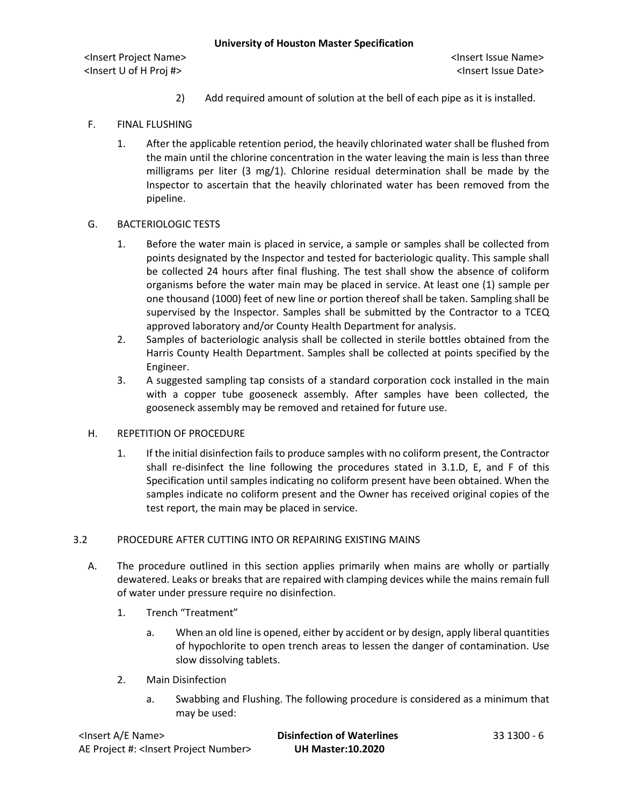<Insert Project Name> <Insert Issue Name> <Insert U of H Proj #> <Insert Issue Date>

- 2) Add required amount of solution at the bell of each pipe as it is installed.
- F. FINAL FLUSHING
	- 1. After the applicable retention period, the heavily chlorinated water shall be flushed from the main until the chlorine concentration in the water leaving the main is less than three milligrams per liter (3 mg/1). Chlorine residual determination shall be made by the Inspector to ascertain that the heavily chlorinated water has been removed from the pipeline.

### G. BACTERIOLOGIC TESTS

- 1. Before the water main is placed in service, a sample or samples shall be collected from points designated by the Inspector and tested for bacteriologic quality. This sample shall be collected 24 hours after final flushing. The test shall show the absence of coliform organisms before the water main may be placed in service. At least one (1) sample per one thousand (1000) feet of new line or portion thereof shall be taken. Sampling shall be supervised by the Inspector. Samples shall be submitted by the Contractor to a TCEQ approved laboratory and/or County Health Department for analysis.
- 2. Samples of bacteriologic analysis shall be collected in sterile bottles obtained from the Harris County Health Department. Samples shall be collected at points specified by the Engineer.
- 3. A suggested sampling tap consists of a standard corporation cock installed in the main with a copper tube gooseneck assembly. After samples have been collected, the gooseneck assembly may be removed and retained for future use.

### H. REPETITION OF PROCEDURE

1. If the initial disinfection fails to produce samples with no coliform present, the Contractor shall re-disinfect the line following the procedures stated in 3.1.D, E, and F of this Specification until samples indicating no coliform present have been obtained. When the samples indicate no coliform present and the Owner has received original copies of the test report, the main may be placed in service.

## 3.2 PROCEDURE AFTER CUTTING INTO OR REPAIRING EXISTING MAINS

- A. The procedure outlined in this section applies primarily when mains are wholly or partially dewatered. Leaks or breaks that are repaired with clamping devices while the mains remain full of water under pressure require no disinfection.
	- 1. Trench "Treatment"
		- a. When an old line is opened, either by accident or by design, apply liberal quantities of hypochlorite to open trench areas to lessen the danger of contamination. Use slow dissolving tablets.
	- 2. Main Disinfection
		- a. Swabbing and Flushing. The following procedure is considered as a minimum that may be used:

| <lnsert a="" e="" name=""></lnsert>                  | <b>Disinfection of Waterlines</b> | 33 1300 - 6 |
|------------------------------------------------------|-----------------------------------|-------------|
| AE Project #: <lnsert number="" project=""></lnsert> | <b>UH Master:10.2020</b>          |             |